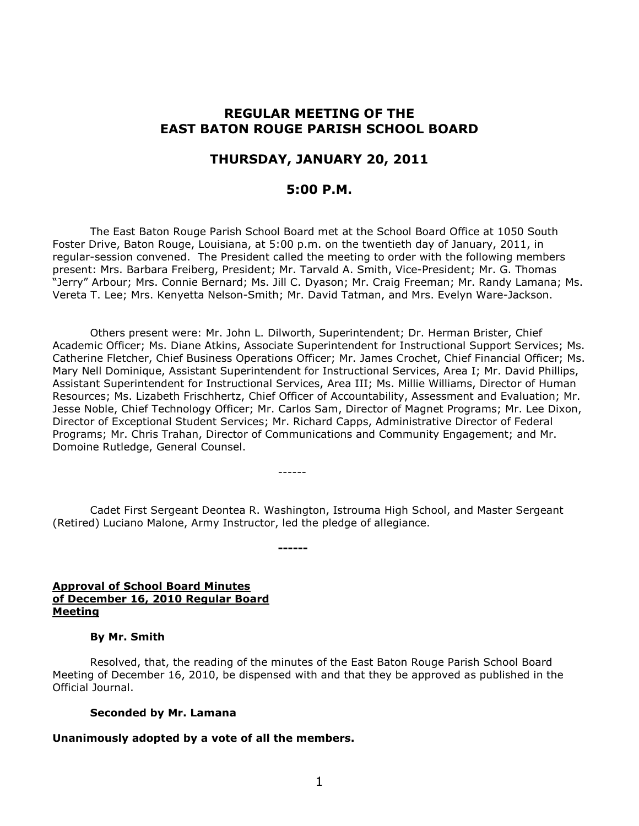# **REGULAR MEETING OF THE EAST BATON ROUGE PARISH SCHOOL BOARD**

# **THURSDAY, JANUARY 20, 2011**

# **5:00 P.M.**

The East Baton Rouge Parish School Board met at the School Board Office at 1050 South Foster Drive, Baton Rouge, Louisiana, at 5:00 p.m. on the twentieth day of January, 2011, in regular-session convened. The President called the meeting to order with the following members present: Mrs. Barbara Freiberg, President; Mr. Tarvald A. Smith, Vice-President; Mr. G. Thomas "Jerry" Arbour; Mrs. Connie Bernard; Ms. Jill C. Dyason; Mr. Craig Freeman; Mr. Randy Lamana; Ms. Vereta T. Lee; Mrs. Kenyetta Nelson-Smith; Mr. David Tatman, and Mrs. Evelyn Ware-Jackson.

Others present were: Mr. John L. Dilworth, Superintendent; Dr. Herman Brister, Chief Academic Officer; Ms. Diane Atkins, Associate Superintendent for Instructional Support Services; Ms. Catherine Fletcher, Chief Business Operations Officer; Mr. James Crochet, Chief Financial Officer; Ms. Mary Nell Dominique, Assistant Superintendent for Instructional Services, Area I; Mr. David Phillips, Assistant Superintendent for Instructional Services, Area III; Ms. Millie Williams, Director of Human Resources; Ms. Lizabeth Frischhertz, Chief Officer of Accountability, Assessment and Evaluation; Mr. Jesse Noble, Chief Technology Officer; Mr. Carlos Sam, Director of Magnet Programs; Mr. Lee Dixon, Director of Exceptional Student Services; Mr. Richard Capps, Administrative Director of Federal Programs; Mr. Chris Trahan, Director of Communications and Community Engagement; and Mr. Domoine Rutledge, General Counsel.

Cadet First Sergeant Deontea R. Washington, Istrouma High School, and Master Sergeant (Retired) Luciano Malone, Army Instructor, led the pledge of allegiance.

------

**------**

# **Approval of School Board Minutes of December 16, 2010 Regular Board Meeting**

#### **By Mr. Smith**

Resolved, that, the reading of the minutes of the East Baton Rouge Parish School Board Meeting of December 16, 2010, be dispensed with and that they be approved as published in the Official Journal.

#### **Seconded by Mr. Lamana**

#### **Unanimously adopted by a vote of all the members.**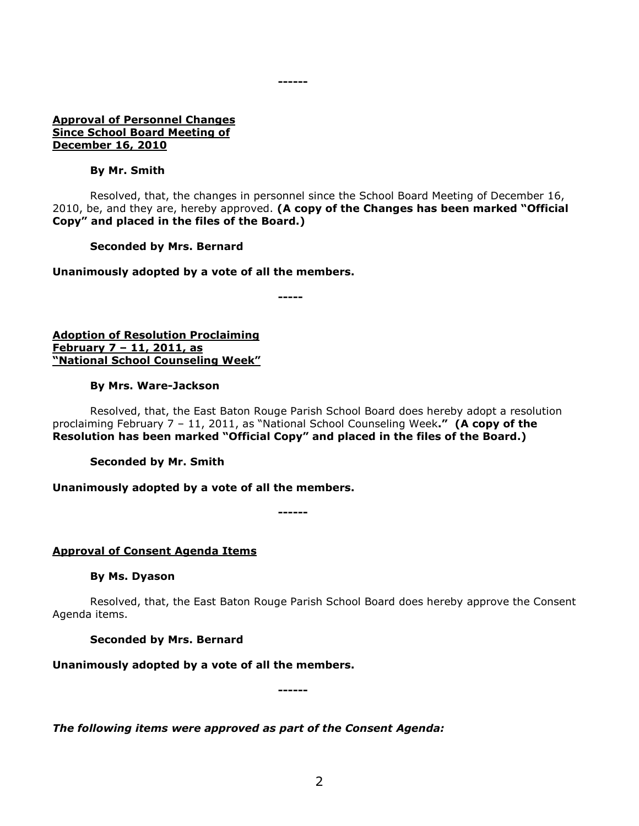#### **Approval of Personnel Changes Since School Board Meeting of December 16, 2010**

#### **By Mr. Smith**

Resolved, that, the changes in personnel since the School Board Meeting of December 16, 2010, be, and they are, hereby approved. **(A copy of the Changes has been marked "Official Copy" and placed in the files of the Board.)**

**------**

#### **Seconded by Mrs. Bernard**

#### **Unanimously adopted by a vote of all the members.**

**-----**

**Adoption of Resolution Proclaiming February 7 – 11, 2011, as "National School Counseling Week"**

#### **By Mrs. Ware-Jackson**

Resolved, that, the East Baton Rouge Parish School Board does hereby adopt a resolution proclaiming February 7 – 11, 2011, as "National School Counseling Week**." (A copy of the Resolution has been marked "Official Copy" and placed in the files of the Board.)**

**Seconded by Mr. Smith**

# **Unanimously adopted by a vote of all the members.**

**------**

# **Approval of Consent Agenda Items**

# **By Ms. Dyason**

Resolved, that, the East Baton Rouge Parish School Board does hereby approve the Consent Agenda items.

# **Seconded by Mrs. Bernard**

**Unanimously adopted by a vote of all the members.**

**------**

*The following items were approved as part of the Consent Agenda:*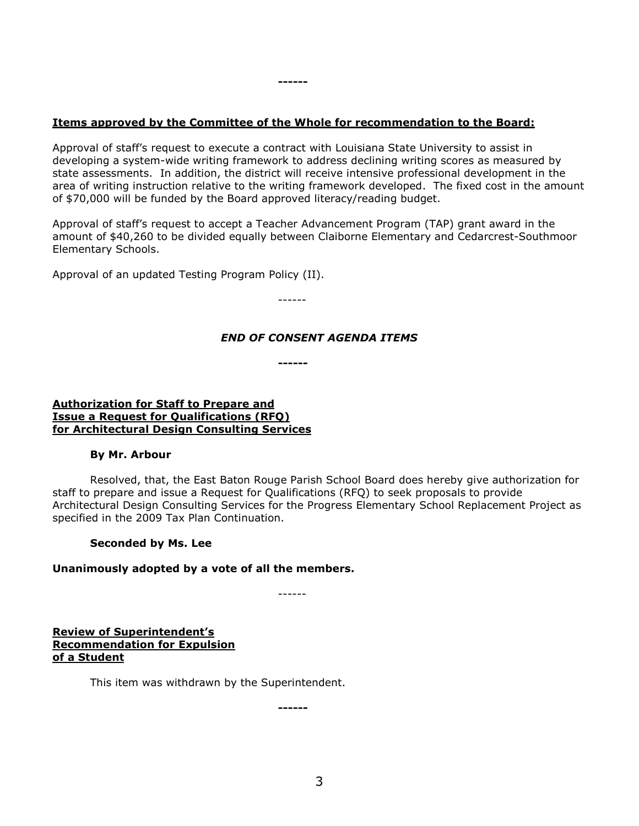# **Items approved by the Committee of the Whole for recommendation to the Board:**

**------**

Approval of staff's request to execute a contract with Louisiana State University to assist in developing a system-wide writing framework to address declining writing scores as measured by state assessments. In addition, the district will receive intensive professional development in the area of writing instruction relative to the writing framework developed. The fixed cost in the amount of \$70,000 will be funded by the Board approved literacy/reading budget.

Approval of staff's request to accept a Teacher Advancement Program (TAP) grant award in the amount of \$40,260 to be divided equally between Claiborne Elementary and Cedarcrest-Southmoor Elementary Schools.

Approval of an updated Testing Program Policy (II).

------

# *END OF CONSENT AGENDA ITEMS*

**------**

#### **Authorization for Staff to Prepare and Issue a Request for Qualifications (RFQ) for Architectural Design Consulting Services**

# **By Mr. Arbour**

Resolved, that, the East Baton Rouge Parish School Board does hereby give authorization for staff to prepare and issue a Request for Qualifications (RFQ) to seek proposals to provide Architectural Design Consulting Services for the Progress Elementary School Replacement Project as specified in the 2009 Tax Plan Continuation.

# **Seconded by Ms. Lee**

# **Unanimously adopted by a vote of all the members.**

------

**Review of Superintendent's Recommendation for Expulsion of a Student**

This item was withdrawn by the Superintendent.

**------**